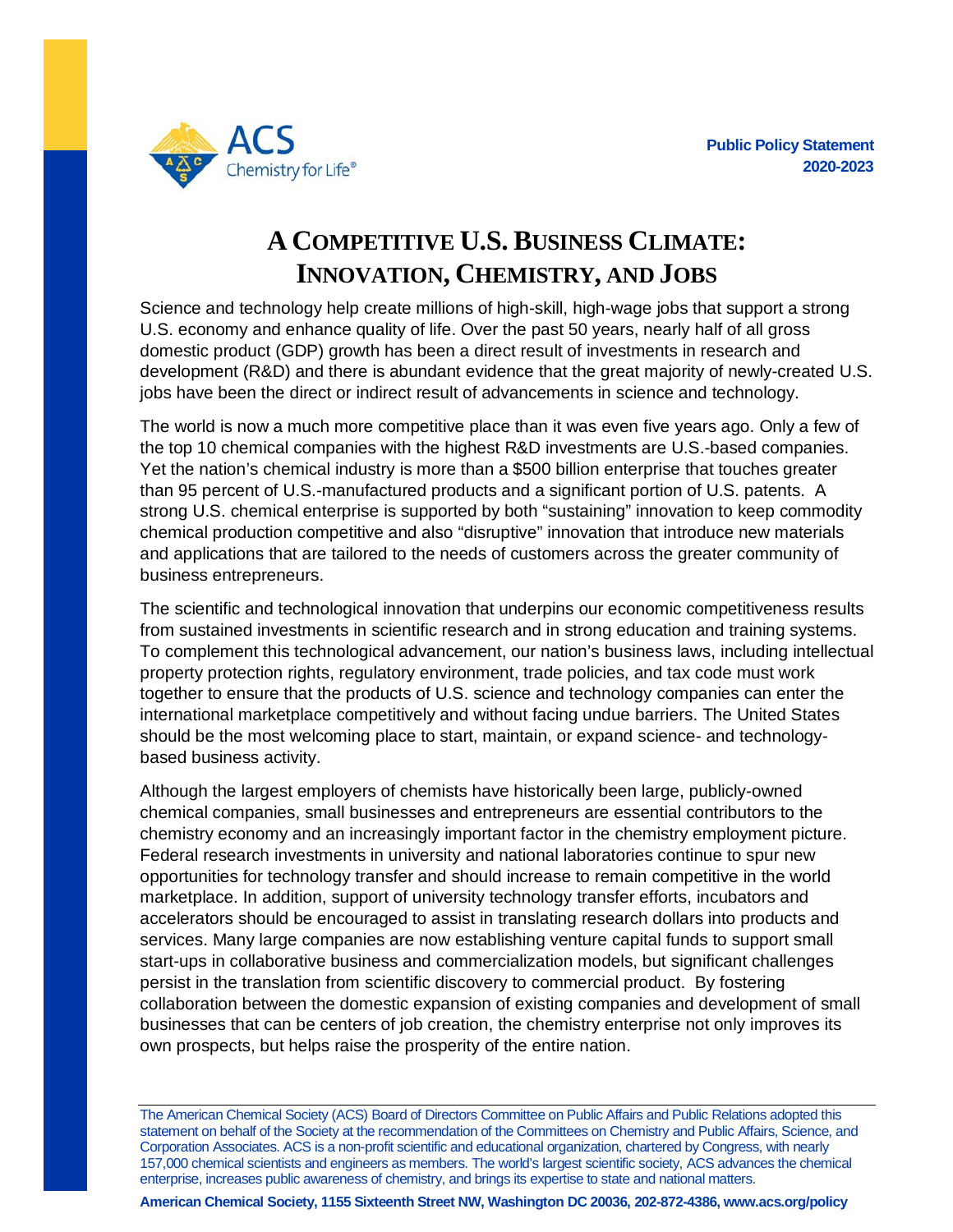

## **A COMPETITIVE U.S. BUSINESS CLIMATE: INNOVATION, CHEMISTRY, AND JOBS**

Science and technology help create millions of high-skill, high-wage jobs that support a strong U.S. economy and enhance quality of life. Over the past 50 years, nearly half of all gross domestic product (GDP) growth has been a direct result of investments in research and development (R&D) and there is abundant evidence that the great majority of newly-created U.S. jobs have been the direct or indirect result of advancements in science and technology.

The world is now a much more competitive place than it was even five years ago. Only a few of the top 10 chemical companies with the highest R&D investments are U.S.-based companies. Yet the nation's chemical industry is more than a \$500 billion enterprise that touches greater than 95 percent of U.S.-manufactured products and a significant portion of U.S. patents. A strong U.S. chemical enterprise is supported by both "sustaining" innovation to keep commodity chemical production competitive and also "disruptive" innovation that introduce new materials and applications that are tailored to the needs of customers across the greater community of business entrepreneurs.

The scientific and technological innovation that underpins our economic competitiveness results from sustained investments in scientific research and in strong education and training systems. To complement this technological advancement, our nation's business laws, including intellectual property protection rights, regulatory environment, trade policies, and tax code must work together to ensure that the products of U.S. science and technology companies can enter the international marketplace competitively and without facing undue barriers. The United States should be the most welcoming place to start, maintain, or expand science- and technologybased business activity.

Although the largest employers of chemists have historically been large, publicly-owned chemical companies, small businesses and entrepreneurs are essential contributors to the chemistry economy and an increasingly important factor in the chemistry employment picture. Federal research investments in university and national laboratories continue to spur new opportunities for technology transfer and should increase to remain competitive in the world marketplace. In addition, support of university technology transfer efforts, incubators and accelerators should be encouraged to assist in translating research dollars into products and services. Many large companies are now establishing venture capital funds to support small start-ups in collaborative business and commercialization models, but significant challenges persist in the translation from scientific discovery to commercial product. By fostering collaboration between the domestic expansion of existing companies and development of small businesses that can be centers of job creation, the chemistry enterprise not only improves its own prospects, but helps raise the prosperity of the entire nation.

The American Chemical Society (ACS) Board of Directors Committee on Public Affairs and Public Relations adopted this statement on behalf of the Society at the recommendation of the Committees on Chemistry and Public Affairs, Science, and Corporation Associates. ACS is a non-profit scientific and educational organization, chartered by Congress, with nearly 157,000 chemical scientists and engineers as members. The world's largest scientific society, ACS advances the chemical enterprise, increases public awareness of chemistry, and brings its expertise to state and national matters.

**American Chemical Society, 1155 Sixteenth Street NW, Washington DC 20036, 202-872-4386, www.acs.org/policy**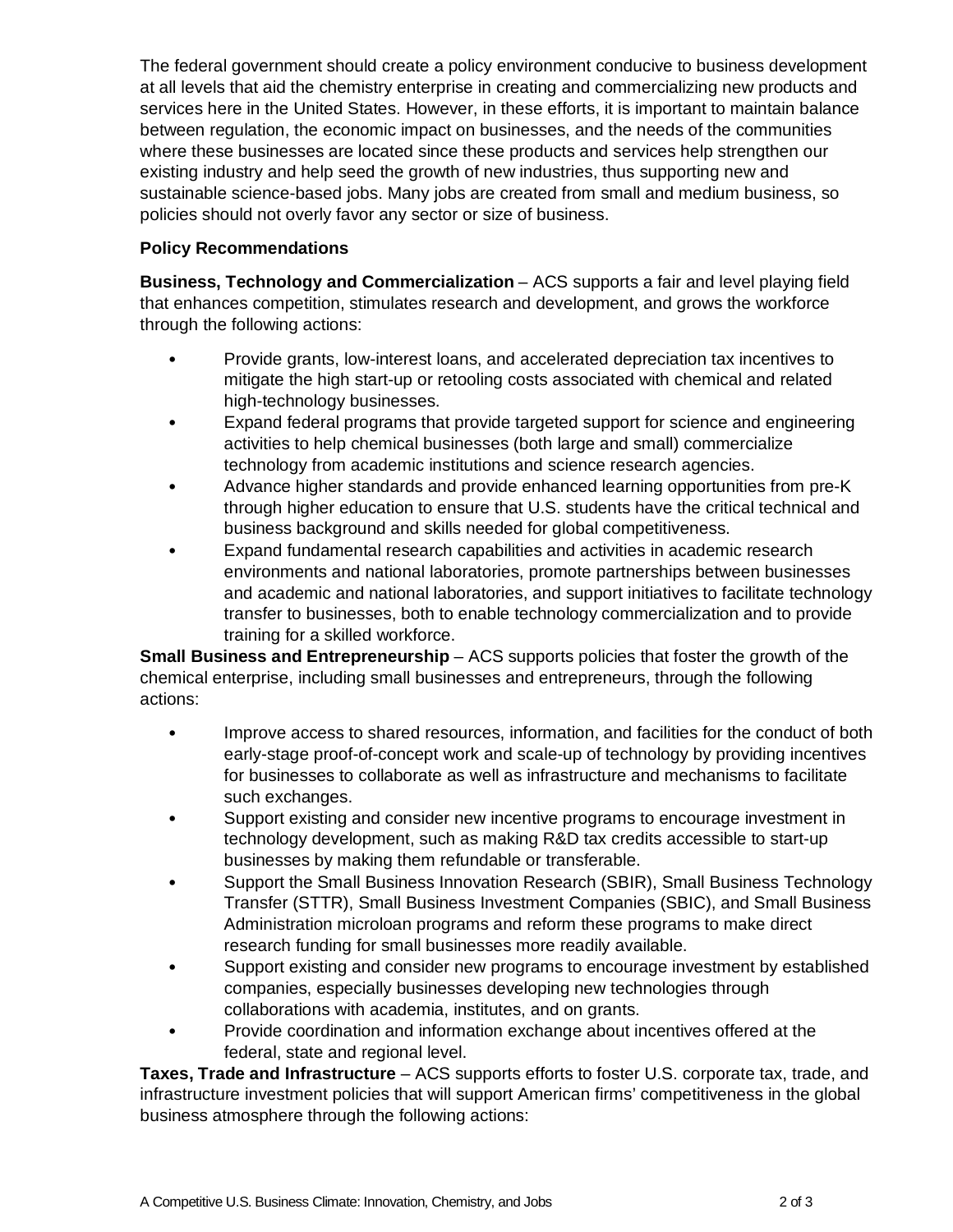The federal government should create a policy environment conducive to business development at all levels that aid the chemistry enterprise in creating and commercializing new products and services here in the United States. However, in these efforts, it is important to maintain balance between regulation, the economic impact on businesses, and the needs of the communities where these businesses are located since these products and services help strengthen our existing industry and help seed the growth of new industries, thus supporting new and sustainable science-based jobs. Many jobs are created from small and medium business, so policies should not overly favor any sector or size of business.

## **Policy Recommendations**

**Business, Technology and Commercialization** – ACS supports a fair and level playing field that enhances competition, stimulates research and development, and grows the workforce through the following actions:

- Provide grants, low-interest loans, and accelerated depreciation tax incentives to mitigate the high start-up or retooling costs associated with chemical and related high-technology businesses.
- Expand federal programs that provide targeted support for science and engineering activities to help chemical businesses (both large and small) commercialize technology from academic institutions and science research agencies.
- Advance higher standards and provide enhanced learning opportunities from pre-K through higher education to ensure that U.S. students have the critical technical and business background and skills needed for global competitiveness.
- Expand fundamental research capabilities and activities in academic research environments and national laboratories, promote partnerships between businesses and academic and national laboratories, and support initiatives to facilitate technology transfer to businesses, both to enable technology commercialization and to provide training for a skilled workforce.

**Small Business and Entrepreneurship** – ACS supports policies that foster the growth of the chemical enterprise, including small businesses and entrepreneurs, through the following actions:

- Improve access to shared resources, information, and facilities for the conduct of both early-stage proof-of-concept work and scale-up of technology by providing incentives for businesses to collaborate as well as infrastructure and mechanisms to facilitate such exchanges.
- Support existing and consider new incentive programs to encourage investment in technology development, such as making R&D tax credits accessible to start-up businesses by making them refundable or transferable.
- Support the Small Business Innovation Research (SBIR), Small Business Technology Transfer (STTR), Small Business Investment Companies (SBIC), and Small Business Administration microloan programs and reform these programs to make direct research funding for small businesses more readily available.
- Support existing and consider new programs to encourage investment by established companies, especially businesses developing new technologies through collaborations with academia, institutes, and on grants.
- Provide coordination and information exchange about incentives offered at the federal, state and regional level.

**Taxes, Trade and Infrastructure** – ACS supports efforts to foster U.S. corporate tax, trade, and infrastructure investment policies that will support American firms' competitiveness in the global business atmosphere through the following actions: